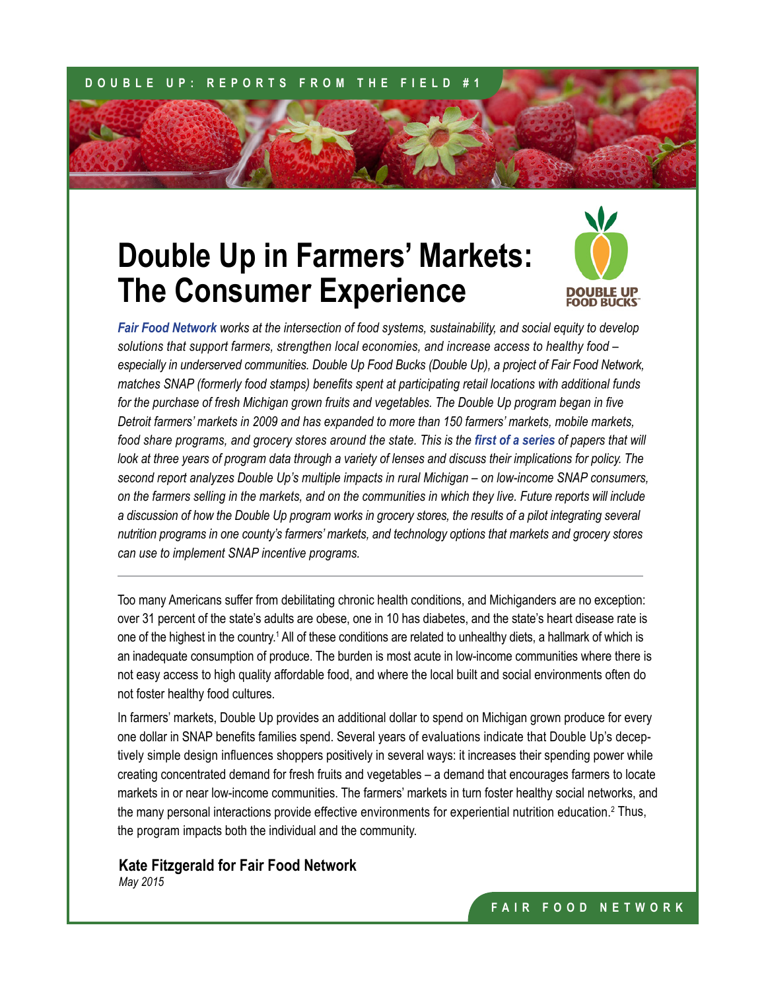## **DOUBLE UP: REPORTS FROM THE FIELD #1**

## **Double Up in Farmers' Markets: The Consumer Experience**



*[Fair Food Network](http://www.fairfoodnetwork.org/) works at the intersection of food systems, sustainability, and social equity to develop solutions that support farmers, strengthen local economies, and increase access to healthy food – especially in underserved communities. Double Up Food Bucks (Double Up), a project of Fair Food Network, matches SNAP (formerly food stamps) benefits spent at participating retail locations with additional funds*  for the purchase of fresh Michigan grown fruits and vegetables. The Double Up program began in five *Detroit farmers' markets in 2009 and has expanded to more than 150 farmers' markets, mobile markets, food share programs, and grocery stores around the state. This is the [first of a series](http://www.fairfoodnetwork.org/resources) of papers that will look at three years of program data through a variety of lenses and discuss their implications for policy. The second report analyzes Double Up's multiple impacts in rural Michigan – on low-income SNAP consumers, on the farmers selling in the markets, and on the communities in which they live. Future reports will include a discussion of how the Double Up program works in grocery stores, the results of a pilot integrating several nutrition programs in one county's farmers' markets, and technology options that markets and grocery stores can use to implement SNAP incentive programs.*

Too many Americans suffer from debilitating chronic health conditions, and Michiganders are no exception: over 31 percent of the state's adults are obese, one in 10 has diabetes, and the state's heart disease rate is one of the highest in the country.<sup>1</sup> All of these conditions are related to unhealthy diets, a hallmark of which is an inadequate consumption of produce. The burden is most acute in low-income communities where there is not easy access to high quality affordable food, and where the local built and social environments often do not foster healthy food cultures.

In farmers' markets, Double Up provides an additional dollar to spend on Michigan grown produce for every one dollar in SNAP benefits families spend. Several years of evaluations indicate that Double Up's deceptively simple design influences shoppers positively in several ways: it increases their spending power while creating concentrated demand for fresh fruits and vegetables – a demand that encourages farmers to locate markets in or near low-income communities. The farmers' markets in turn foster healthy social networks, and the many personal interactions provide effective environments for experiential nutrition education.<sup>2</sup> Thus, the program impacts both the individual and the community.

## **Kate Fitzgerald for Fair Food Network**

*May 2015*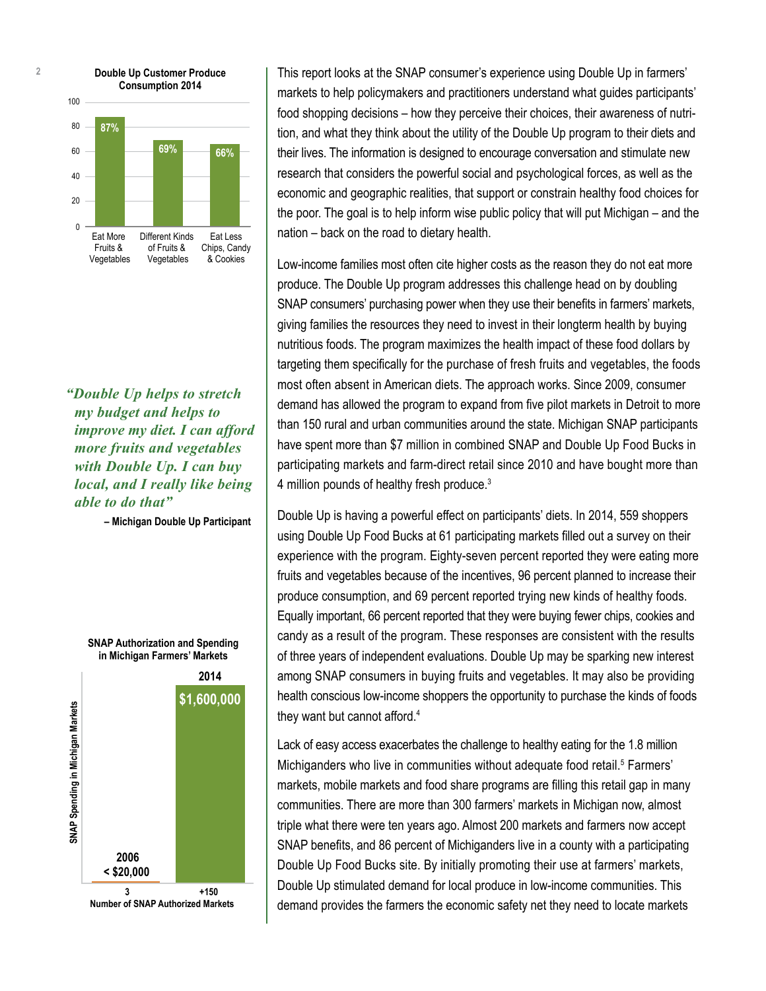

*"Double Up helps to stretch my budget and helps to improve my diet. I can afford more fruits and vegetables with Double Up. I can buy local, and I really like being able to do that"*

**– Michigan Double Up Participant**

**SNAP Authorization and Spending in Michigan Farmers' Markets**



This report looks at the SNAP consumer's experience using Double Up in farmers' markets to help policymakers and practitioners understand what guides participants' food shopping decisions – how they perceive their choices, their awareness of nutrition, and what they think about the utility of the Double Up program to their diets and their lives. The information is designed to encourage conversation and stimulate new research that considers the powerful social and psychological forces, as well as the economic and geographic realities, that support or constrain healthy food choices for the poor. The goal is to help inform wise public policy that will put Michigan – and the nation – back on the road to dietary health.

Low-income families most often cite higher costs as the reason they do not eat more produce. The Double Up program addresses this challenge head on by doubling SNAP consumers' purchasing power when they use their benefits in farmers' markets, giving families the resources they need to invest in their longterm health by buying nutritious foods. The program maximizes the health impact of these food dollars by targeting them specifically for the purchase of fresh fruits and vegetables, the foods most often absent in American diets. The approach works. Since 2009, consumer demand has allowed the program to expand from five pilot markets in Detroit to more than 150 rural and urban communities around the state. Michigan SNAP participants have spent more than \$7 million in combined SNAP and Double Up Food Bucks in participating markets and farm-direct retail since 2010 and have bought more than 4 million pounds of healthy fresh produce.<sup>3</sup>

Double Up is having a powerful effect on participants' diets. In 2014, 559 shoppers using Double Up Food Bucks at 61 participating markets filled out a survey on their experience with the program. Eighty-seven percent reported they were eating more fruits and vegetables because of the incentives, 96 percent planned to increase their produce consumption, and 69 percent reported trying new kinds of healthy foods. Equally important, 66 percent reported that they were buying fewer chips, cookies and candy as a result of the program. These responses are consistent with the results of three years of independent evaluations. Double Up may be sparking new interest among SNAP consumers in buying fruits and vegetables. It may also be providing health conscious low-income shoppers the opportunity to purchase the kinds of foods they want but cannot afford.<sup>4</sup>

Lack of easy access exacerbates the challenge to healthy eating for the 1.8 million Michiganders who live in communities without adequate food retail.<sup>5</sup> Farmers' markets, mobile markets and food share programs are filling this retail gap in many communities. There are more than 300 farmers' markets in Michigan now, almost triple what there were ten years ago. Almost 200 markets and farmers now accept SNAP benefits, and 86 percent of Michiganders live in a county with a participating Double Up Food Bucks site. By initially promoting their use at farmers' markets, Double Up stimulated demand for local produce in low-income communities. This demand provides the farmers the economic safety net they need to locate markets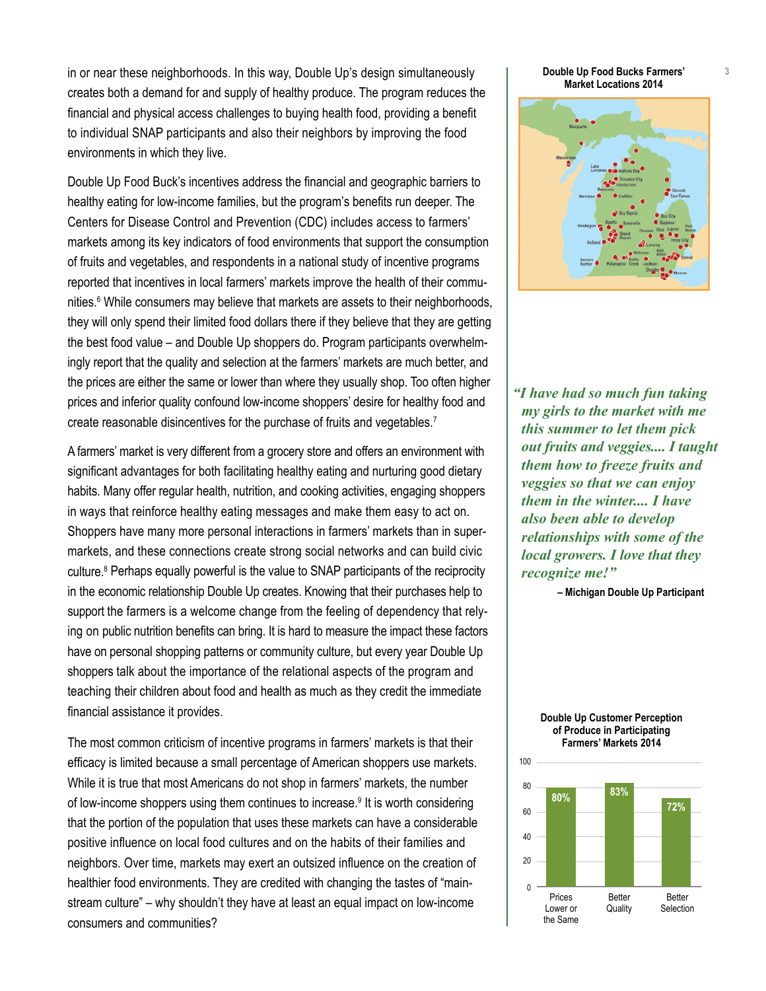in or near these neighborhoods. In this way, Double Up's design simultaneously creates both a demand for and supply of healthy produce. The program reduces the financial and physical access challenges to buying health food, providing a benefit to individual SNAP participants and also their neighbors by improving the food environments in which they live.

Double Up Food Buck's incentives address the financial and geographic barriers to healthy eating for low-income families, but the program's benefits run deeper. The Centers for Disease Control and Prevention (CDC) includes access to farmers' markets among its key indicators of food environments that support the consumption of fruits and vegetables, and respondents in a national study of incentive programs reported that incentives in local farmers' markets improve the health of their communities.<sup>6</sup> While consumers may believe that markets are assets to their neighborhoods, they will only spend their limited food dollars there if they believe that they are getting the best food value – and Double Up shoppers do. Program participants overwhelmingly report that the quality and selection at the farmers' markets are much better, and the prices are either the same or lower than where they usually shop. Too often higher prices and inferior quality confound low-income shoppers' desire for healthy food and create reasonable disincentives for the purchase of fruits and vegetables.<sup>7</sup>

A farmers' market is very different from a grocery store and offers an environment with significant advantages for both facilitating healthy eating and nurturing good dietary habits. Many offer regular health, nutrition, and cooking activities, engaging shoppers in ways that reinforce healthy eating messages and make them easy to act on. Shoppers have many more personal interactions in farmers' markets than in supermarkets, and these connections create strong social networks and can build civic culture.<sup>8</sup> Perhaps equally powerful is the value to SNAP participants of the reciprocity in the economic relationship Double Up creates. Knowing that their purchases help to support the farmers is a welcome change from the feeling of dependency that relying on public nutrition benefits can bring. It is hard to measure the impact these factors have on personal shopping patterns or community culture, but every year Double Up shoppers talk about the importance of the relational aspects of the program and teaching their children about food and health as much as they credit the immediate financial assistance it provides.

The most common criticism of incentive programs in farmers' markets is that their efficacy is limited because a small percentage of American shoppers use markets. While it is true that most Americans do not shop in farmers' markets, the number of low-income shoppers using them continues to increase.<sup>9</sup> It is worth considering that the portion of the population that uses these markets can have a considerable positive influence on local food cultures and on the habits of their families and neighbors. Over time, markets may exert an outsized influence on the creation of healthier food environments. They are credited with changing the tastes of "mainstream culture" – why shouldn't they have at least an equal impact on low-income consumers and communities?

**Double Up Food Bucks Farmers' Market Locations 2014**



*"I have had so much fun taking my girls to the market with me this summer to let them pick out fruits and veggies.... I taught them how to freeze fruits and veggies so that we can enjoy them in the winter.... I have also been able to develop relationships with some of the local growers. I love that they recognize me!"*

**– Michigan Double Up Participant**